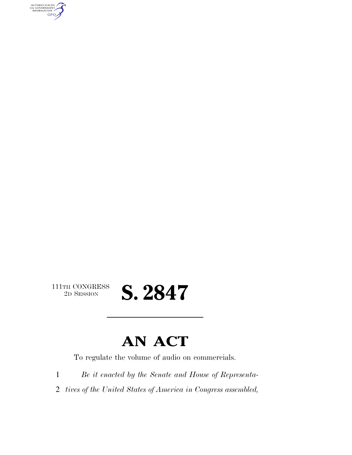AUTHENTICATED<br>U.S. GOVERNMENT<br>INFORMATION **GPO** 

 $\begin{array}{c} \textbf{111TH CONGRESS} \\ \textbf{2D} \textbf{Session} \end{array}$ 

## 2D SESSION **S. 2847**

### **AN ACT**

To regulate the volume of audio on commercials.

1 *Be it enacted by the Senate and House of Representa-*

2 *tives of the United States of America in Congress assembled,*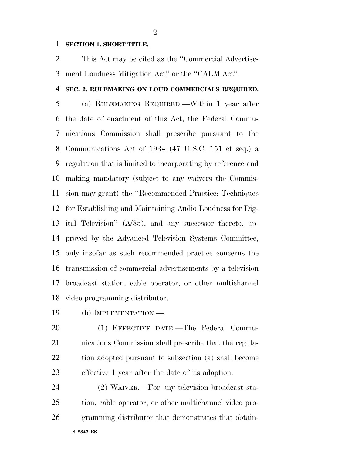#### **SECTION 1. SHORT TITLE.**

 This Act may be cited as the ''Commercial Advertise-ment Loudness Mitigation Act'' or the ''CALM Act''.

#### **SEC. 2. RULEMAKING ON LOUD COMMERCIALS REQUIRED.**

 (a) RULEMAKING REQUIRED.—Within 1 year after the date of enactment of this Act, the Federal Commu- nications Commission shall prescribe pursuant to the Communications Act of 1934 (47 U.S.C. 151 et seq.) a regulation that is limited to incorporating by reference and making mandatory (subject to any waivers the Commis- sion may grant) the ''Recommended Practice: Techniques for Establishing and Maintaining Audio Loudness for Dig- ital Television'' (A/85), and any successor thereto, ap- proved by the Advanced Television Systems Committee, only insofar as such recommended practice concerns the transmission of commercial advertisements by a television broadcast station, cable operator, or other multichannel video programming distributor.

- (b) IMPLEMENTATION.—
- (1) EFFECTIVE DATE.—The Federal Commu- nications Commission shall prescribe that the regula- tion adopted pursuant to subsection (a) shall become effective 1 year after the date of its adoption.

 (2) WAIVER.—For any television broadcast sta- tion, cable operator, or other multichannel video pro-gramming distributor that demonstrates that obtain-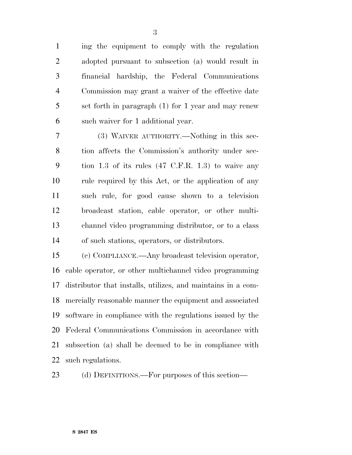ing the equipment to comply with the regulation adopted pursuant to subsection (a) would result in financial hardship, the Federal Communications Commission may grant a waiver of the effective date set forth in paragraph (1) for 1 year and may renew such waiver for 1 additional year.

 (3) WAIVER AUTHORITY.—Nothing in this sec- tion affects the Commission's authority under sec- tion 1.3 of its rules (47 C.F.R. 1.3) to waive any rule required by this Act, or the application of any such rule, for good cause shown to a television broadcast station, cable operator, or other multi- channel video programming distributor, or to a class of such stations, operators, or distributors.

 (c) COMPLIANCE.—Any broadcast television operator, cable operator, or other multichannel video programming distributor that installs, utilizes, and maintains in a com- mercially reasonable manner the equipment and associated software in compliance with the regulations issued by the Federal Communications Commission in accordance with subsection (a) shall be deemed to be in compliance with such regulations.

(d) DEFINITIONS.—For purposes of this section—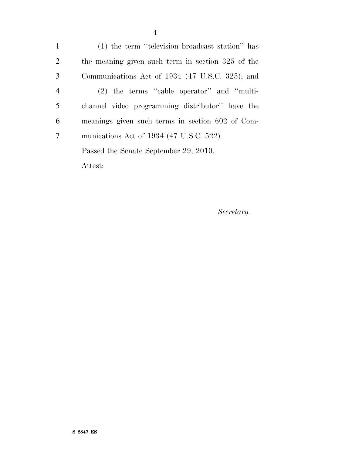(1) the term ''television broadcast station'' has the meaning given such term in section 325 of the Communications Act of 1934 (47 U.S.C. 325); and (2) the terms ''cable operator'' and ''multi- channel video programming distributor'' have the meanings given such terms in section 602 of Com- munications Act of 1934 (47 U.S.C. 522). Passed the Senate September 29, 2010. Attest:

*Secretary.*